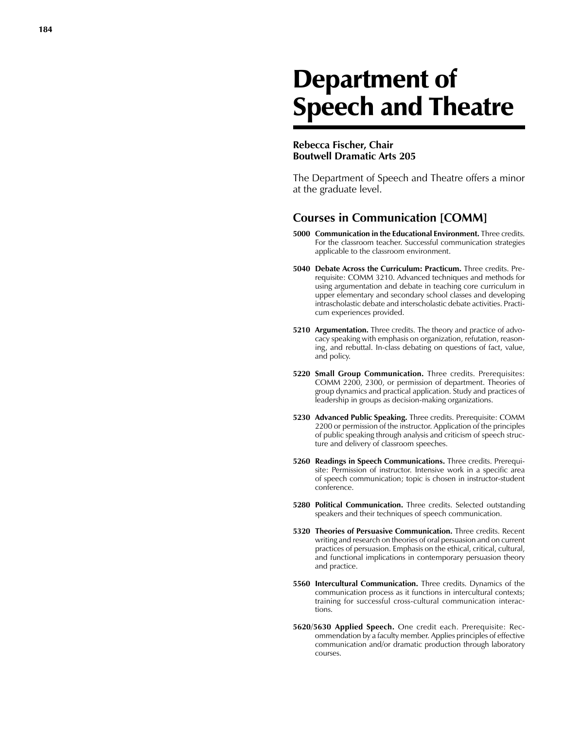# Department of Speech and Theatre

#### **Rebecca Fischer, Chair Boutwell Dramatic Arts 205**

The Department of Speech and Theatre offers a minor at the graduate level.

## **Courses in Communication [COMM]**

- **5000 Communication in the Educational Environment.** Three credits. For the classroom teacher. Succes sful communication strategies applicable to the classroom enviro nment.
- **5040 Debate Across the Curriculum: Practicum.** Three credits. Pre requisite: COMM 3210. Advanced techniques and methods for using argumentation and debate in teaching core curriculum in upper elementary and secondary school classes and developing intrascholastic debate and interscholastic debate activities. Practi cum experiences provided.
- **5210 Argumentation.** Three credits. The theory and practice of advocacy speaking with emphasis on organization, refutation, reasoning, and rebuttal. In-class debating on questions of fact, value, and policy.
- **5220 Small Group Communication.** Three credits. Prerequisites: COMM 2200, 2300, or permission of department. Theories of group dynamics and practical application. Study and practices of leadership in groups as decision -making organizations.
- **5230 Advanced Public Speaking.** Three credits. Prerequisite: COMM 2200 or permission of the instructor. Application of the principles of public speaking through analysis and criticism of speech struc ture and delivery of classroom speeches.
- **5260 Readings in Speech Communications.** Three credits. Prerequisite: Permission of instructor. Intensive work in a specific area of speech communication; topic is chosen in instructor -student conference.
- **5280 Political Communication.** Three credits. Selected outstanding speakers and their techniques of speech communication.
- **5320 Theories of Persuasive Communication.** Three credits. Recent writing and research on theories of oral persuasion and on current practices of persuasion. Emphasis on the ethical, critical, cultural, and functional implications in contemporary persu asion theory and practice.
- **5560 Intercultural Communication.** Three credits. Dynamics of the communication process as it functions in intercultural contexts; training for successful cross -cultural communication interac tions.
- **5620/5630 Applied Speech.** One credit each. Prerequisite: Rec ommendation by a faculty member. Applies principles of effective communication and/or dramatic production through laboratory courses.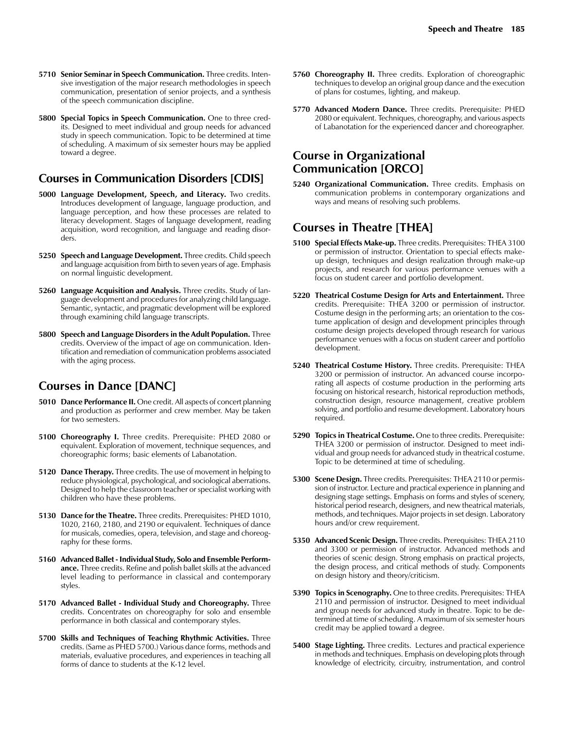- **5710 Senior Seminar in Speech Communication.** Three credits. Intensive investigation of the major research methodologies in speech communication, presentation of senior projects, and a synthesis of the speech communication discipline.
- **5800 Special Topics in Speech Communication.** One to three credits. Designed to meet individual and group needs for advanced study in speech communication. Topic to be determined at time of scheduling. A maximum of six semester hours may be applied toward a degree.

### **Courses in Communication Disorders [CDIS]**

- **5000 Language Development, Speech, and Literacy.** Two credits. Introduces development of language, language production, and language perception, and how these processes are related to literacy development. Stages of language development, reading acquisition, word recognition, and language and reading disorders.
- **5250 Speech and Language Development.** Three credits. Child speech and language acquisition from birth to seven years of age. Emphasis on normal linguistic development.
- **5260 Language Acquisition and Analysis.** Three credits. Study of language development and procedures for analyzing child language. Semantic, syntactic, and pragmatic development will be explored through examining child language transcripts.
- **5800 Speech and Language Disorders in the Adult Population.** Three credits. Overview of the impact of age on communication. Identification and remediation of communication problems associated with the aging process.

## **Courses in Dance [DANC]**

- **5010 Dance Performance II.** One credit. All aspects of concert planning and production as performer and crew member. May be taken for two semesters.
- **5100 Choreography I.** Three credits. Prerequisite: PHED 2080 or equivalent. Exploration of movement, technique sequences, and choreographic forms; basic elements of Labanotation.
- **5120 Dance Therapy.** Three credits. The use of movement in helping to reduce physiological, psychological, and sociological aberrations. Designed to help the classroom teacher or specialist working with children who have these problems.
- **5130 Dance for the Theatre.** Three credits. Prerequisites: PHED 1010, 1020, 2160, 2180, and 2190 or equivalent. Techniques of dance for musicals, comedies, opera, television, and stage and choreography for these forms.
- **5160 Advanced Ballet Individual Study, Solo and Ensemble Performance.** Three credits. Refine and polish ballet skills at the advanced level leading to performance in classical and contemporary styles.
- **5170 Advanced Ballet Individual Study and Choreography.** Three credits. Concentrates on choreography for solo and ensemble performance in both classical and contemporary styles.
- **5700 Skills and Techniques of Teaching Rhythmic Activities.** Three credits. (Same as PHED 5700.) Various dance forms, methods and materials, evaluative procedures, and experiences in teaching all forms of dance to students at the K-12 level.
- **5760 Choreography II.** Three credits. Exploration of choreographic techniques to develop an original group dance and the execution of plans for costumes, lighting, and makeup.
- **5770 Advanced Modern Dance.** Three credits. Prerequisite: PHED 2080 or equivalent. Techniques, choreography, and various aspects of Labanotation for the experienced dancer and choreographer.

## **Course in Organizational Communication [ORCO]**

**5240 Organizational Communication.** Three credits. Emphasis on communication problems in contemporary organizations and ways and means of resolving such problems.

## **Courses in Theatre [THEA]**

- **5100 Special Effects Make-up.** Three credits. Prerequisites: THEA 3100 or permission of instructor. Orientation to special effects makeup design, techniques and design realization through make-up projects, and research for various performance venues with a focus on student career and portfolio development.
- **5220 Theatrical Costume Design for Arts and Entertainment.** Three credits. Prerequisite: THEA 3200 or permission of instructor. Costume design in the performing arts; an orientation to the costume application of design and development principles through costume design projects developed through research for various performance venues with a focus on student career and portfolio development.
- **5240 Theatrical Costume History.** Three credits. Prerequisite: THEA 3200 or permission of instructor. An advanced course incorporating all aspects of costume production in the performing arts focusing on historical research, historical reproduction methods, construction design, resource management, creative problem solving, and portfolio and resume development. Laboratory hours required.
- **5290 Topics in Theatrical Costume.** One to three credits. Prerequisite: THEA 3200 or permission of instructor. Designed to meet individual and group needs for advanced study in theatrical costume. Topic to be determined at time of scheduling.
- **5300 Scene Design.** Three credits. Prerequisites: THEA 2110 or permission of instructor. Lecture and practical experience in planning and designing stage settings. Emphasis on forms and styles of scenery, historical period research, designers, and new theatrical materials, methods, and techniques. Major projects in set design. Laboratory hours and/or crew requirement.
- **5350 Advanced Scenic Design.** Three credits. Prerequisites: THEA 2110 and 3300 or permission of instructor. Advanced methods and theories of scenic design. Strong emphasis on practical projects, the design process, and critical methods of study. Components on design history and theory/criticism.
- **5390 Topics in Scenography.** One to three credits. Prerequisites: THEA 2110 and permission of instructor. Designed to meet individual and group needs for advanced study in theatre. Topic to be determined at time of scheduling. A maximum of six semester hours credit may be applied toward a degree.
- **5400 Stage Lighting.** Three credits. Lectures and practical experience in methods and techniques. Emphasis on developing plots through knowledge of electricity, circuitry, instrumentation, and control